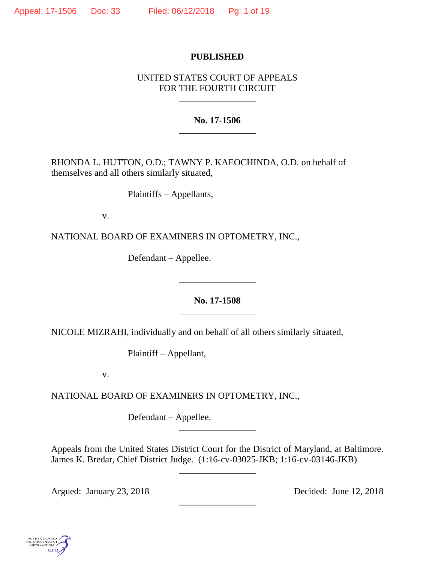## **PUBLISHED**

# UNITED STATES COURT OF APPEALS FOR THE FOURTH CIRCUIT

**No. 17-1506**

RHONDA L. HUTTON, O.D.; TAWNY P. KAEOCHINDA, O.D. on behalf of themselves and all others similarly situated,

Plaintiffs – Appellants,

v.

NATIONAL BOARD OF EXAMINERS IN OPTOMETRY, INC.,

Defendant – Appellee.

# **No. 17-1508**

NICOLE MIZRAHI, individually and on behalf of all others similarly situated,

Plaintiff – Appellant,

v.

NATIONAL BOARD OF EXAMINERS IN OPTOMETRY, INC.,

Defendant – Appellee.

Appeals from the United States District Court for the District of Maryland, at Baltimore. James K. Bredar, Chief District Judge. (1:16-cv-03025-JKB; 1:16-cv-03146-JKB)

Argued: January 23, 2018 Decided: June 12, 2018

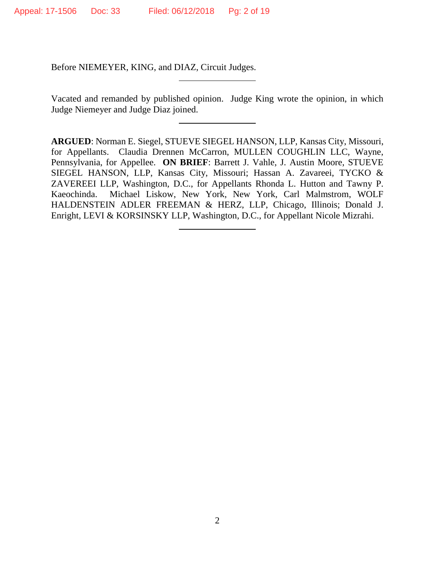Before NIEMEYER, KING, and DIAZ, Circuit Judges.

Vacated and remanded by published opinion. Judge King wrote the opinion, in which Judge Niemeyer and Judge Diaz joined.

**ARGUED**: Norman E. Siegel, STUEVE SIEGEL HANSON, LLP, Kansas City, Missouri, for Appellants. Claudia Drennen McCarron, MULLEN COUGHLIN LLC, Wayne, Pennsylvania, for Appellee. **ON BRIEF**: Barrett J. Vahle, J. Austin Moore, STUEVE SIEGEL HANSON, LLP, Kansas City, Missouri; Hassan A. Zavareei, TYCKO & ZAVEREEI LLP, Washington, D.C., for Appellants Rhonda L. Hutton and Tawny P. Kaeochinda. Michael Liskow, New York, New York, Carl Malmstrom, WOLF HALDENSTEIN ADLER FREEMAN & HERZ, LLP, Chicago, Illinois; Donald J. Enright, LEVI & KORSINSKY LLP, Washington, D.C., for Appellant Nicole Mizrahi.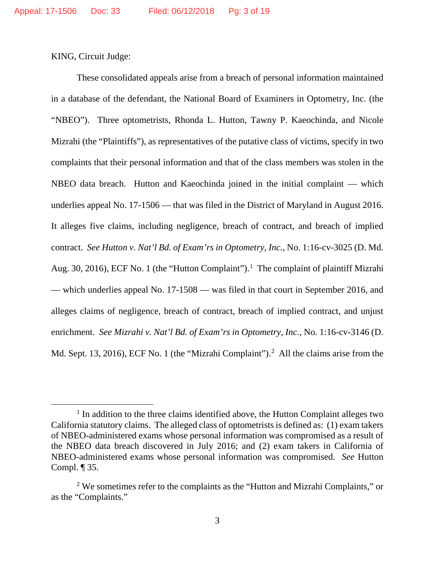KING, Circuit Judge:

These consolidated appeals arise from a breach of personal information maintained in a database of the defendant, the National Board of Examiners in Optometry, Inc. (the "NBEO"). Three optometrists, Rhonda L. Hutton, Tawny P. Kaeochinda, and Nicole Mizrahi (the "Plaintiffs"), as representatives of the putative class of victims, specify in two complaints that their personal information and that of the class members was stolen in the NBEO data breach. Hutton and Kaeochinda joined in the initial complaint — which underlies appeal No. 17-1506 — that was filed in the District of Maryland in August 2016. It alleges five claims, including negligence, breach of contract, and breach of implied contract. *See Hutton v. Nat'l Bd. of Exam'rs in Optometry, Inc.*, No. 1:16-cv-3025 (D. Md. Aug. 30, 20[1](#page-2-0)6), ECF No. 1 (the "Hutton Complaint").<sup>1</sup> The complaint of plaintiff Mizrahi — which underlies appeal No. 17-1508 — was filed in that court in September 2016, and alleges claims of negligence, breach of contract, breach of implied contract, and unjust enrichment. *See Mizrahi v. Nat'l Bd. of Exam'rs in Optometry, Inc.*, No. 1:16-cv-3146 (D. Md. Sept. 13, [2](#page-2-1)016), ECF No. 1 (the "Mizrahi Complaint").<sup>2</sup> All the claims arise from the

<span id="page-2-0"></span><sup>&</sup>lt;sup>1</sup> In addition to the three claims identified above, the Hutton Complaint alleges two California statutory claims. The alleged class of optometrists is defined as: (1) exam takers of NBEO-administered exams whose personal information was compromised as a result of the NBEO data breach discovered in July 2016; and (2) exam takers in California of NBEO-administered exams whose personal information was compromised. *See* Hutton Compl. ¶ 35.

<span id="page-2-1"></span><sup>&</sup>lt;sup>2</sup> We sometimes refer to the complaints as the "Hutton and Mizrahi Complaints," or as the "Complaints."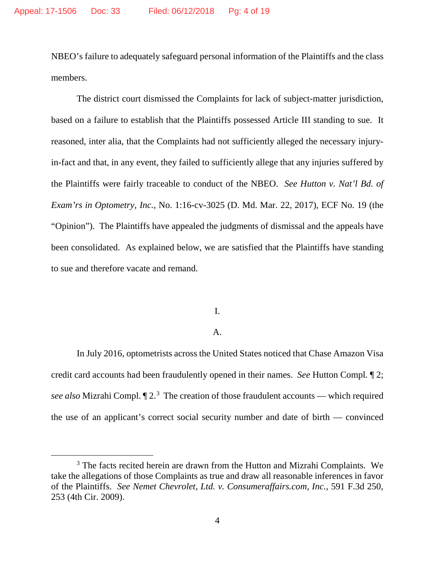NBEO's failure to adequately safeguard personal information of the Plaintiffs and the class members.

The district court dismissed the Complaints for lack of subject-matter jurisdiction, based on a failure to establish that the Plaintiffs possessed Article III standing to sue. It reasoned, inter alia, that the Complaints had not sufficiently alleged the necessary injuryin-fact and that, in any event, they failed to sufficiently allege that any injuries suffered by the Plaintiffs were fairly traceable to conduct of the NBEO. *See Hutton v. Nat'l Bd. of Exam'rs in Optometry, Inc.*, No. 1:16-cv-3025 (D. Md. Mar. 22, 2017), ECF No. 19 (the "Opinion"). The Plaintiffs have appealed the judgments of dismissal and the appeals have been consolidated. As explained below, we are satisfied that the Plaintiffs have standing to sue and therefore vacate and remand.

I.

## A.

In July 2016, optometrists across the United States noticed that Chase Amazon Visa credit card accounts had been fraudulently opened in their names. *See* Hutton Compl. ¶ 2; see also Mizrahi Compl.  $\P 2<sup>3</sup>$  $\P 2<sup>3</sup>$  $\P 2<sup>3</sup>$  The creation of those fraudulent accounts — which required the use of an applicant's correct social security number and date of birth — convinced

<span id="page-3-0"></span><sup>&</sup>lt;sup>3</sup> The facts recited herein are drawn from the Hutton and Mizrahi Complaints. We take the allegations of those Complaints as true and draw all reasonable inferences in favor of the Plaintiffs. *See Nemet Chevrolet, Ltd. v. Consumeraffairs.com, Inc.*, 591 F.3d 250, 253 (4th Cir. 2009).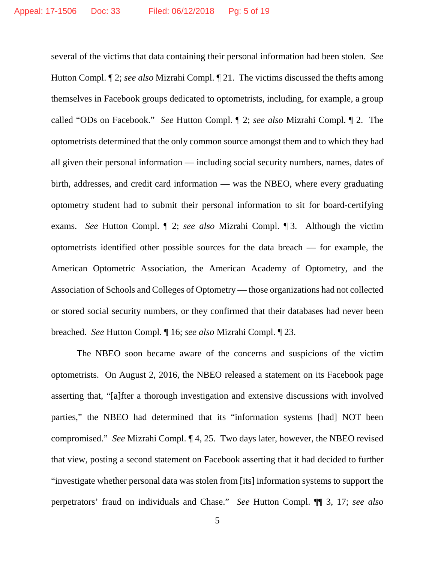several of the victims that data containing their personal information had been stolen. *See*  Hutton Compl. ¶ 2; *see also* Mizrahi Compl. ¶ 21. The victims discussed the thefts among themselves in Facebook groups dedicated to optometrists, including, for example, a group called "ODs on Facebook." *See* Hutton Compl. ¶ 2; *see also* Mizrahi Compl. ¶ 2. The optometrists determined that the only common source amongst them and to which they had all given their personal information — including social security numbers, names, dates of birth, addresses, and credit card information — was the NBEO, where every graduating optometry student had to submit their personal information to sit for board-certifying exams. *See* Hutton Compl. ¶ 2; *see also* Mizrahi Compl. ¶ 3. Although the victim optometrists identified other possible sources for the data breach — for example, the American Optometric Association, the American Academy of Optometry, and the Association of Schools and Colleges of Optometry — those organizations had not collected or stored social security numbers, or they confirmed that their databases had never been breached. *See* Hutton Compl. ¶ 16; *see also* Mizrahi Compl. ¶ 23.

The NBEO soon became aware of the concerns and suspicions of the victim optometrists. On August 2, 2016, the NBEO released a statement on its Facebook page asserting that, "[a]fter a thorough investigation and extensive discussions with involved parties," the NBEO had determined that its "information systems [had] NOT been compromised." *See* Mizrahi Compl. ¶ 4, 25. Two days later, however, the NBEO revised that view, posting a second statement on Facebook asserting that it had decided to further "investigate whether personal data was stolen from [its] information systems to support the perpetrators' fraud on individuals and Chase." *See* Hutton Compl. ¶¶ 3, 17; *see also*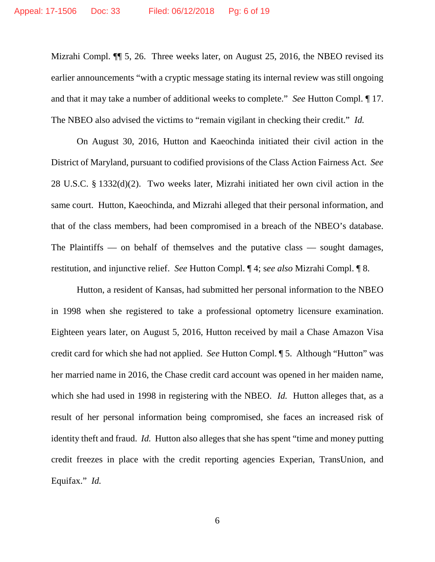Mizrahi Compl. ¶¶ 5, 26. Three weeks later, on August 25, 2016, the NBEO revised its earlier announcements "with a cryptic message stating its internal review was still ongoing and that it may take a number of additional weeks to complete." *See* Hutton Compl. ¶ 17. The NBEO also advised the victims to "remain vigilant in checking their credit." *Id.*

On August 30, 2016, Hutton and Kaeochinda initiated their civil action in the District of Maryland, pursuant to codified provisions of the Class Action Fairness Act. *See*  28 U.S.C. § 1332(d)(2). Two weeks later, Mizrahi initiated her own civil action in the same court. Hutton, Kaeochinda, and Mizrahi alleged that their personal information, and that of the class members, had been compromised in a breach of the NBEO's database. The Plaintiffs — on behalf of themselves and the putative class — sought damages, restitution, and injunctive relief. *See* Hutton Compl. ¶ 4; s*ee also* Mizrahi Compl. ¶ 8.

Hutton, a resident of Kansas, had submitted her personal information to the NBEO in 1998 when she registered to take a professional optometry licensure examination. Eighteen years later, on August 5, 2016, Hutton received by mail a Chase Amazon Visa credit card for which she had not applied. *See* Hutton Compl. ¶ 5. Although "Hutton" was her married name in 2016, the Chase credit card account was opened in her maiden name, which she had used in 1998 in registering with the NBEO. *Id.* Hutton alleges that, as a result of her personal information being compromised, she faces an increased risk of identity theft and fraud. *Id.* Hutton also alleges that she has spent "time and money putting credit freezes in place with the credit reporting agencies Experian, TransUnion, and Equifax." *Id.*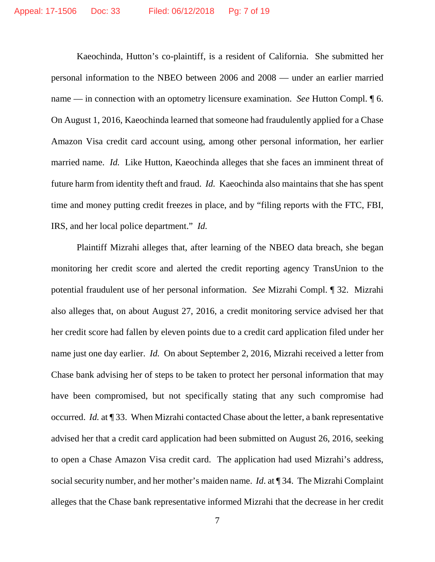Kaeochinda, Hutton's co-plaintiff, is a resident of California. She submitted her personal information to the NBEO between 2006 and 2008 — under an earlier married name — in connection with an optometry licensure examination. *See* Hutton Compl. ¶ 6. On August 1, 2016, Kaeochinda learned that someone had fraudulently applied for a Chase Amazon Visa credit card account using, among other personal information, her earlier married name. *Id.* Like Hutton, Kaeochinda alleges that she faces an imminent threat of future harm from identity theft and fraud. *Id.* Kaeochinda also maintains that she has spent time and money putting credit freezes in place, and by "filing reports with the FTC, FBI, IRS, and her local police department." *Id.*

Plaintiff Mizrahi alleges that, after learning of the NBEO data breach, she began monitoring her credit score and alerted the credit reporting agency TransUnion to the potential fraudulent use of her personal information. *See* Mizrahi Compl. ¶ 32. Mizrahi also alleges that, on about August 27, 2016, a credit monitoring service advised her that her credit score had fallen by eleven points due to a credit card application filed under her name just one day earlier. *Id.* On about September 2, 2016, Mizrahi received a letter from Chase bank advising her of steps to be taken to protect her personal information that may have been compromised, but not specifically stating that any such compromise had occurred. *Id.* at ¶ 33. When Mizrahi contacted Chase about the letter, a bank representative advised her that a credit card application had been submitted on August 26, 2016, seeking to open a Chase Amazon Visa credit card. The application had used Mizrahi's address, social security number, and her mother's maiden name. *Id*. at ¶ 34. The Mizrahi Complaint alleges that the Chase bank representative informed Mizrahi that the decrease in her credit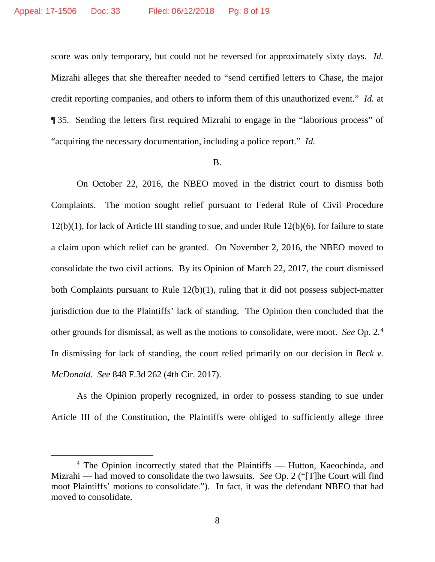score was only temporary, but could not be reversed for approximately sixty days. *Id.* Mizrahi alleges that she thereafter needed to "send certified letters to Chase, the major credit reporting companies, and others to inform them of this unauthorized event." *Id.* at ¶ 35. Sending the letters first required Mizrahi to engage in the "laborious process" of "acquiring the necessary documentation, including a police report." *Id.*

## B.

On October 22, 2016, the NBEO moved in the district court to dismiss both Complaints. The motion sought relief pursuant to Federal Rule of Civil Procedure 12(b)(1), for lack of Article III standing to sue, and under Rule 12(b)(6), for failure to state a claim upon which relief can be granted. On November 2, 2016, the NBEO moved to consolidate the two civil actions. By its Opinion of March 22, 2017, the court dismissed both Complaints pursuant to Rule 12(b)(1), ruling that it did not possess subject-matter jurisdiction due to the Plaintiffs' lack of standing. The Opinion then concluded that the other grounds for dismissal, as well as the motions to consolidate, were moot. *See* Op. 2*.* [4](#page-7-0)  In dismissing for lack of standing, the court relied primarily on our decision in *Beck v. McDonald*. *See* 848 F.3d 262 (4th Cir. 2017).

As the Opinion properly recognized, in order to possess standing to sue under Article III of the Constitution, the Plaintiffs were obliged to sufficiently allege three

<span id="page-7-0"></span> <sup>4</sup> The Opinion incorrectly stated that the Plaintiffs — Hutton, Kaeochinda, and Mizrahi — had moved to consolidate the two lawsuits. *See* Op. 2 ("[T]he Court will find moot Plaintiffs' motions to consolidate."). In fact, it was the defendant NBEO that had moved to consolidate.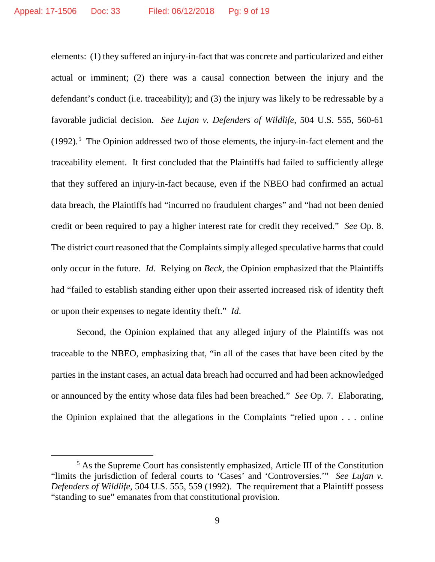elements: (1) they suffered an injury-in-fact that was concrete and particularized and either actual or imminent; (2) there was a causal connection between the injury and the defendant's conduct (i.e. traceability); and (3) the injury was likely to be redressable by a favorable judicial decision. *See Lujan v. Defenders of Wildlife*, 504 U.S. 555, 560-61  $(1992).$ <sup>[5](#page-8-0)</sup> The Opinion addressed two of those elements, the injury-in-fact element and the traceability element. It first concluded that the Plaintiffs had failed to sufficiently allege that they suffered an injury-in-fact because, even if the NBEO had confirmed an actual data breach, the Plaintiffs had "incurred no fraudulent charges" and "had not been denied credit or been required to pay a higher interest rate for credit they received." *See* Op. 8. The district court reasoned that the Complaints simply alleged speculative harms that could only occur in the future. *Id.* Relying on *Beck*, the Opinion emphasized that the Plaintiffs had "failed to establish standing either upon their asserted increased risk of identity theft or upon their expenses to negate identity theft." *Id*.

Second, the Opinion explained that any alleged injury of the Plaintiffs was not traceable to the NBEO, emphasizing that, "in all of the cases that have been cited by the parties in the instant cases, an actual data breach had occurred and had been acknowledged or announced by the entity whose data files had been breached." *See* Op. 7. Elaborating, the Opinion explained that the allegations in the Complaints "relied upon . . . online

<span id="page-8-0"></span> <sup>5</sup> As the Supreme Court has consistently emphasized, Article III of the Constitution "limits the jurisdiction of federal courts to 'Cases' and 'Controversies.'" *See Lujan v. Defenders of Wildlife*, 504 U.S. 555, 559 (1992). The requirement that a Plaintiff possess "standing to sue" emanates from that constitutional provision.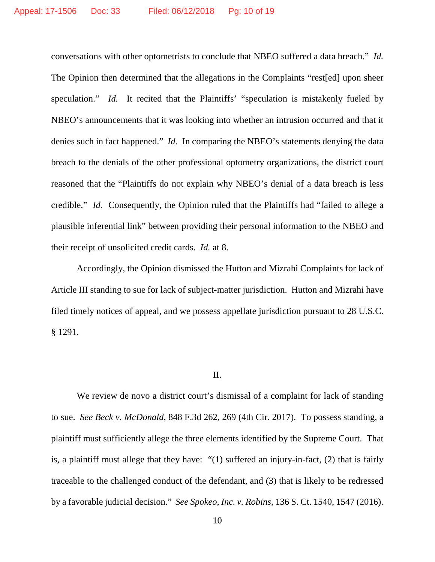conversations with other optometrists to conclude that NBEO suffered a data breach." *Id.* The Opinion then determined that the allegations in the Complaints "rest[ed] upon sheer speculation." *Id.* It recited that the Plaintiffs' "speculation is mistakenly fueled by NBEO's announcements that it was looking into whether an intrusion occurred and that it denies such in fact happened." *Id.* In comparing the NBEO's statements denying the data breach to the denials of the other professional optometry organizations, the district court reasoned that the "Plaintiffs do not explain why NBEO's denial of a data breach is less credible." *Id.* Consequently, the Opinion ruled that the Plaintiffs had "failed to allege a plausible inferential link" between providing their personal information to the NBEO and their receipt of unsolicited credit cards. *Id.* at 8.

Accordingly, the Opinion dismissed the Hutton and Mizrahi Complaints for lack of Article III standing to sue for lack of subject-matter jurisdiction. Hutton and Mizrahi have filed timely notices of appeal, and we possess appellate jurisdiction pursuant to 28 U.S.C. § 1291.

## II.

We review de novo a district court's dismissal of a complaint for lack of standing to sue. *See Beck v. McDonald*, 848 F.3d 262, 269 (4th Cir. 2017). To possess standing, a plaintiff must sufficiently allege the three elements identified by the Supreme Court. That is, a plaintiff must allege that they have: "(1) suffered an injury-in-fact, (2) that is fairly traceable to the challenged conduct of the defendant, and (3) that is likely to be redressed by a favorable judicial decision." *See Spokeo, Inc. v. Robins*, 136 S. Ct. 1540, 1547 (2016).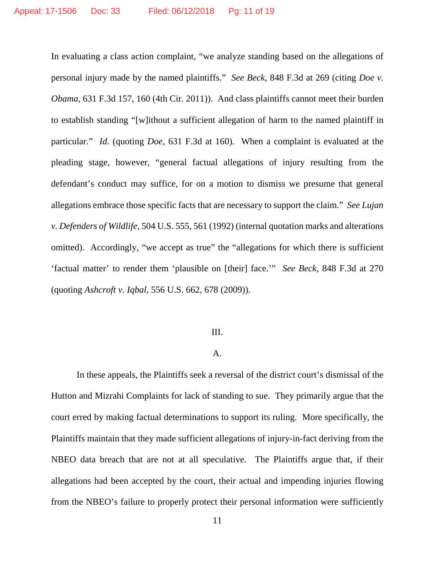In evaluating a class action complaint, "we analyze standing based on the allegations of personal injury made by the named plaintiffs." *See Beck*, 848 F.3d at 269 (citing *Doe v. Obama*, 631 F.3d 157, 160 (4th Cir. 2011)). And class plaintiffs cannot meet their burden to establish standing "[w]ithout a sufficient allegation of harm to the named plaintiff in particular." *Id*. (quoting *Doe*, 631 F.3d at 160). When a complaint is evaluated at the pleading stage, however, "general factual allegations of injury resulting from the defendant's conduct may suffice, for on a motion to dismiss we presume that general allegations embrace those specific facts that are necessary to support the claim." *See Lujan v. Defenders of Wildlife*, 504 U.S. 555, 561 (1992) (internal quotation marks and alterations omitted). Accordingly, "we accept as true" the "allegations for which there is sufficient 'factual matter' to render them 'plausible on [their] face.'" *See Beck*, 848 F.3d at 270 (quoting *Ashcroft v. Iqbal*, 556 U.S. 662, 678 (2009)).

#### III.

## A.

In these appeals, the Plaintiffs seek a reversal of the district court's dismissal of the Hutton and Mizrahi Complaints for lack of standing to sue. They primarily argue that the court erred by making factual determinations to support its ruling. More specifically, the Plaintiffs maintain that they made sufficient allegations of injury-in-fact deriving from the NBEO data breach that are not at all speculative. The Plaintiffs argue that, if their allegations had been accepted by the court, their actual and impending injuries flowing from the NBEO's failure to properly protect their personal information were sufficiently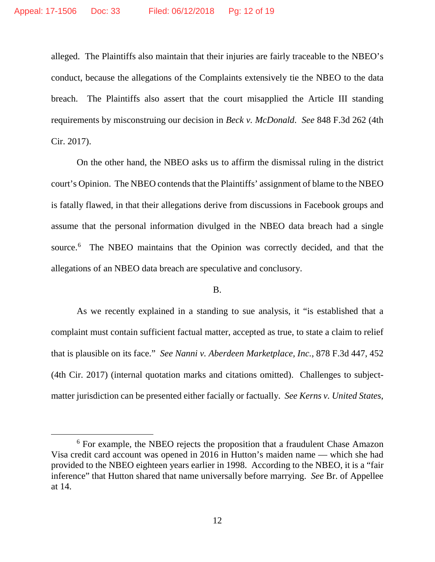alleged. The Plaintiffs also maintain that their injuries are fairly traceable to the NBEO's conduct, because the allegations of the Complaints extensively tie the NBEO to the data breach. The Plaintiffs also assert that the court misapplied the Article III standing requirements by misconstruing our decision in *Beck v. McDonald*. *See* 848 F.3d 262 (4th Cir. 2017).

On the other hand, the NBEO asks us to affirm the dismissal ruling in the district court's Opinion. The NBEO contends that the Plaintiffs' assignment of blame to the NBEO is fatally flawed, in that their allegations derive from discussions in Facebook groups and assume that the personal information divulged in the NBEO data breach had a single source.<sup>[6](#page-11-0)</sup> The NBEO maintains that the Opinion was correctly decided, and that the allegations of an NBEO data breach are speculative and conclusory.

## B.

As we recently explained in a standing to sue analysis, it "is established that a complaint must contain sufficient factual matter, accepted as true, to state a claim to relief that is plausible on its face." *See Nanni v. Aberdeen Marketplace, Inc.*, 878 F.3d 447, 452 (4th Cir. 2017) (internal quotation marks and citations omitted). Challenges to subjectmatter jurisdiction can be presented either facially or factually. *See Kerns v. United States*,

<span id="page-11-0"></span> <sup>6</sup> For example, the NBEO rejects the proposition that a fraudulent Chase Amazon Visa credit card account was opened in 2016 in Hutton's maiden name — which she had provided to the NBEO eighteen years earlier in 1998. According to the NBEO, it is a "fair inference" that Hutton shared that name universally before marrying. *See* Br. of Appellee at 14.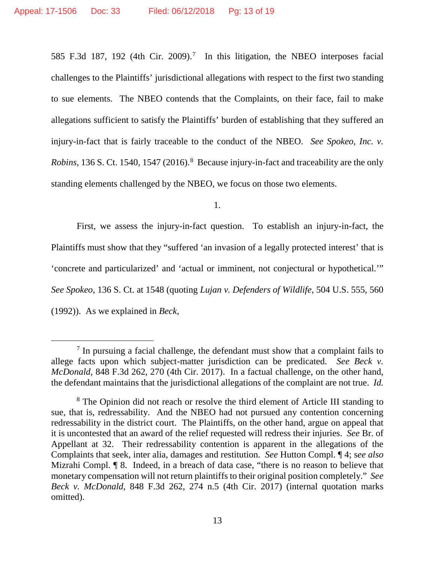585 F.3d 18[7](#page-12-0), 192 (4th Cir. 2009).<sup>7</sup> In this litigation, the NBEO interposes facial challenges to the Plaintiffs' jurisdictional allegations with respect to the first two standing to sue elements. The NBEO contends that the Complaints, on their face, fail to make allegations sufficient to satisfy the Plaintiffs' burden of establishing that they suffered an injury-in-fact that is fairly traceable to the conduct of the NBEO. *See Spokeo, Inc. v. Robins*, 136 S. Ct. 1540, 1547 (2016). [8](#page-12-1) Because injury-in-fact and traceability are the only standing elements challenged by the NBEO, we focus on those two elements.

1.

First, we assess the injury-in-fact question. To establish an injury-in-fact, the Plaintiffs must show that they "suffered 'an invasion of a legally protected interest' that is 'concrete and particularized' and 'actual or imminent, not conjectural or hypothetical.'" *See Spokeo*, 136 S. Ct. at 1548 (quoting *Lujan v. Defenders of Wildlife*, 504 U.S. 555, 560 (1992)). As we explained in *Beck*,

<span id="page-12-0"></span> $7$  In pursuing a facial challenge, the defendant must show that a complaint fails to allege facts upon which subject-matter jurisdiction can be predicated. *See Beck v. McDonald*, 848 F.3d 262, 270 (4th Cir. 2017). In a factual challenge, on the other hand, the defendant maintains that the jurisdictional allegations of the complaint are not true. *Id.*

<span id="page-12-1"></span><sup>&</sup>lt;sup>8</sup> The Opinion did not reach or resolve the third element of Article III standing to sue, that is, redressability. And the NBEO had not pursued any contention concerning redressability in the district court. The Plaintiffs, on the other hand, argue on appeal that it is uncontested that an award of the relief requested will redress their injuries. *See* Br. of Appellant at 32. Their redressability contention is apparent in the allegations of the Complaints that seek, inter alia, damages and restitution. *See* Hutton Compl. ¶ 4; s*ee also*  Mizrahi Compl. ¶ 8. Indeed, in a breach of data case, "there is no reason to believe that monetary compensation will not return plaintiffs to their original position completely." *See Beck v. McDonald*, 848 F.3d 262, 274 n.5 (4th Cir. 2017) (internal quotation marks omitted).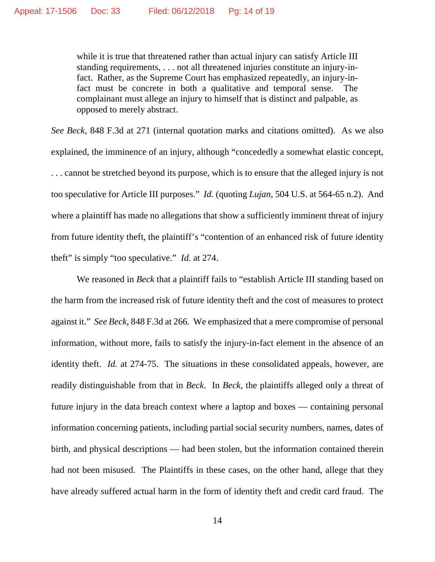while it is true that threatened rather than actual injury can satisfy Article III standing requirements, . . . not all threatened injuries constitute an injury-infact. Rather, as the Supreme Court has emphasized repeatedly, an injury-infact must be concrete in both a qualitative and temporal sense. The complainant must allege an injury to himself that is distinct and palpable, as opposed to merely abstract.

*See Beck*, 848 F.3d at 271 (internal quotation marks and citations omitted). As we also explained, the imminence of an injury, although "concededly a somewhat elastic concept, . . . cannot be stretched beyond its purpose, which is to ensure that the alleged injury is not too speculative for Article III purposes." *Id.* (quoting *Lujan*, 504 U.S. at 564-65 n.2). And where a plaintiff has made no allegations that show a sufficiently imminent threat of injury from future identity theft, the plaintiff's "contention of an enhanced risk of future identity theft" is simply "too speculative." *Id.* at 274.

We reasoned in *Beck* that a plaintiff fails to "establish Article III standing based on the harm from the increased risk of future identity theft and the cost of measures to protect against it." *See Beck*, 848 F.3d at 266*.* We emphasized that a mere compromise of personal information, without more, fails to satisfy the injury-in-fact element in the absence of an identity theft. *Id.* at 274-75. The situations in these consolidated appeals, however, are readily distinguishable from that in *Beck*. In *Beck*, the plaintiffs alleged only a threat of future injury in the data breach context where a laptop and boxes — containing personal information concerning patients, including partial social security numbers, names, dates of birth, and physical descriptions — had been stolen, but the information contained therein had not been misused. The Plaintiffs in these cases, on the other hand, allege that they have already suffered actual harm in the form of identity theft and credit card fraud. The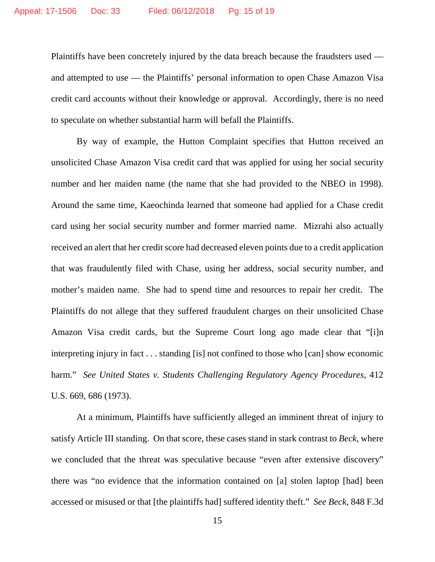Plaintiffs have been concretely injured by the data breach because the fraudsters used and attempted to use — the Plaintiffs' personal information to open Chase Amazon Visa credit card accounts without their knowledge or approval. Accordingly, there is no need to speculate on whether substantial harm will befall the Plaintiffs.

By way of example, the Hutton Complaint specifies that Hutton received an unsolicited Chase Amazon Visa credit card that was applied for using her social security number and her maiden name (the name that she had provided to the NBEO in 1998). Around the same time, Kaeochinda learned that someone had applied for a Chase credit card using her social security number and former married name. Mizrahi also actually received an alert that her credit score had decreased eleven points due to a credit application that was fraudulently filed with Chase, using her address, social security number, and mother's maiden name. She had to spend time and resources to repair her credit. The Plaintiffs do not allege that they suffered fraudulent charges on their unsolicited Chase Amazon Visa credit cards, but the Supreme Court long ago made clear that "[i]n interpreting injury in fact . . . standing [is] not confined to those who [can] show economic harm." *See United States v. Students Challenging Regulatory Agency Procedures*, 412 U.S. 669, 686 (1973).

At a minimum, Plaintiffs have sufficiently alleged an imminent threat of injury to satisfy Article III standing. On that score, these cases stand in stark contrast to *Beck*, where we concluded that the threat was speculative because "even after extensive discovery" there was "no evidence that the information contained on [a] stolen laptop [had] been accessed or misused or that [the plaintiffs had] suffered identity theft." *See Beck*, 848 F.3d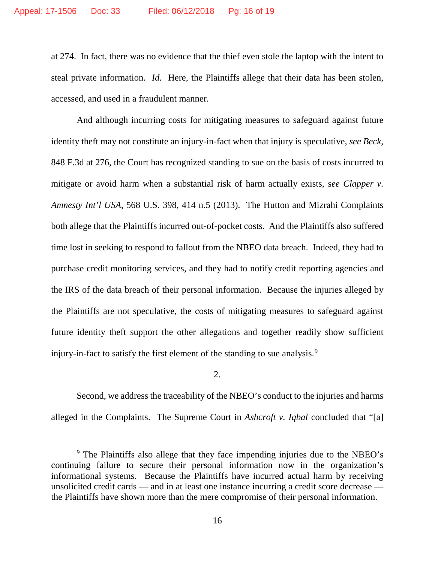at 274. In fact, there was no evidence that the thief even stole the laptop with the intent to steal private information. *Id.* Here, the Plaintiffs allege that their data has been stolen, accessed, and used in a fraudulent manner.

And although incurring costs for mitigating measures to safeguard against future identity theft may not constitute an injury-in-fact when that injury is speculative, *see Beck*, 848 F.3d at 276, the Court has recognized standing to sue on the basis of costs incurred to mitigate or avoid harm when a substantial risk of harm actually exists, s*ee Clapper v. Amnesty Int'l USA*, 568 U.S. 398, 414 n.5 (2013). The Hutton and Mizrahi Complaints both allege that the Plaintiffs incurred out-of-pocket costs. And the Plaintiffs also suffered time lost in seeking to respond to fallout from the NBEO data breach. Indeed, they had to purchase credit monitoring services, and they had to notify credit reporting agencies and the IRS of the data breach of their personal information. Because the injuries alleged by the Plaintiffs are not speculative, the costs of mitigating measures to safeguard against future identity theft support the other allegations and together readily show sufficient injury-in-fact to satisfy the first element of the standing to sue analysis.<sup>[9](#page-15-0)</sup>

2.

Second, we address the traceability of the NBEO's conduct to the injuries and harms alleged in the Complaints. The Supreme Court in *Ashcroft v. Iqbal* concluded that "[a]

<span id="page-15-0"></span> <sup>9</sup> The Plaintiffs also allege that they face impending injuries due to the NBEO's continuing failure to secure their personal information now in the organization's informational systems. Because the Plaintiffs have incurred actual harm by receiving unsolicited credit cards — and in at least one instance incurring a credit score decrease the Plaintiffs have shown more than the mere compromise of their personal information.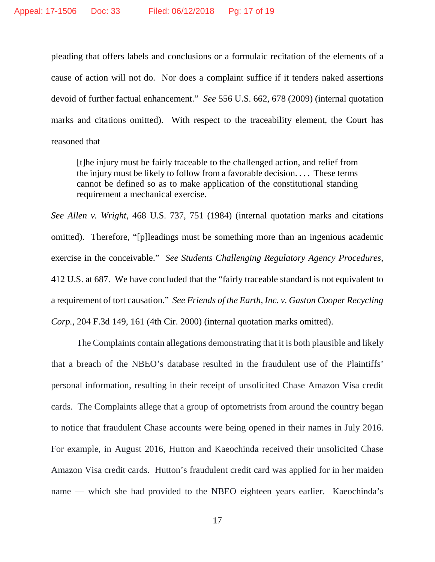pleading that offers labels and conclusions or a formulaic recitation of the elements of a cause of action will not do. Nor does a complaint suffice if it tenders naked assertions devoid of further factual enhancement." *See* 556 U.S. 662, 678 (2009) (internal quotation marks and citations omitted). With respect to the traceability element, the Court has reasoned that

[t]he injury must be fairly traceable to the challenged action, and relief from the injury must be likely to follow from a favorable decision. . . . These terms cannot be defined so as to make application of the constitutional standing requirement a mechanical exercise.

*See Allen v. Wright*, 468 U.S. 737, 751 (1984) (internal quotation marks and citations omitted). Therefore, "[p]leadings must be something more than an ingenious academic exercise in the conceivable." *See Students Challenging Regulatory Agency Procedures*, 412 U.S. at 687. We have concluded that the "fairly traceable standard is not equivalent to a requirement of tort causation." *See Friends of the Earth, Inc. v. Gaston Cooper Recycling Corp.*, 204 F.3d 149, 161 (4th Cir. 2000) (internal quotation marks omitted).

The Complaints contain allegations demonstrating that it is both plausible and likely that a breach of the NBEO's database resulted in the fraudulent use of the Plaintiffs' personal information, resulting in their receipt of unsolicited Chase Amazon Visa credit cards. The Complaints allege that a group of optometrists from around the country began to notice that fraudulent Chase accounts were being opened in their names in July 2016. For example, in August 2016, Hutton and Kaeochinda received their unsolicited Chase Amazon Visa credit cards. Hutton's fraudulent credit card was applied for in her maiden name — which she had provided to the NBEO eighteen years earlier. Kaeochinda's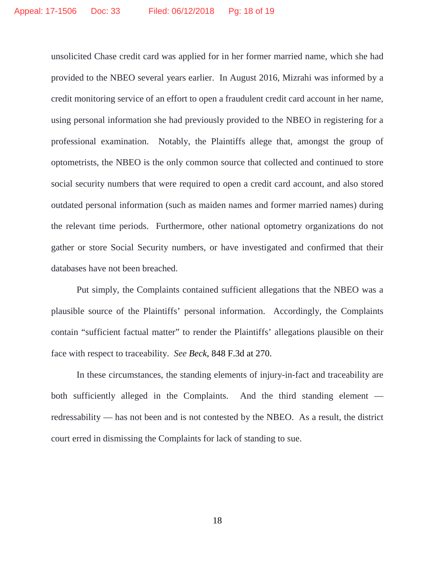unsolicited Chase credit card was applied for in her former married name, which she had provided to the NBEO several years earlier. In August 2016, Mizrahi was informed by a credit monitoring service of an effort to open a fraudulent credit card account in her name, using personal information she had previously provided to the NBEO in registering for a professional examination. Notably, the Plaintiffs allege that, amongst the group of optometrists, the NBEO is the only common source that collected and continued to store social security numbers that were required to open a credit card account, and also stored outdated personal information (such as maiden names and former married names) during the relevant time periods. Furthermore, other national optometry organizations do not gather or store Social Security numbers, or have investigated and confirmed that their databases have not been breached.

Put simply, the Complaints contained sufficient allegations that the NBEO was a plausible source of the Plaintiffs' personal information. Accordingly, the Complaints contain "sufficient factual matter" to render the Plaintiffs' allegations plausible on their face with respect to traceability. *See Beck*, 848 F.3d at 270.

In these circumstances, the standing elements of injury-in-fact and traceability are both sufficiently alleged in the Complaints. And the third standing element redressability — has not been and is not contested by the NBEO. As a result, the district court erred in dismissing the Complaints for lack of standing to sue.

18